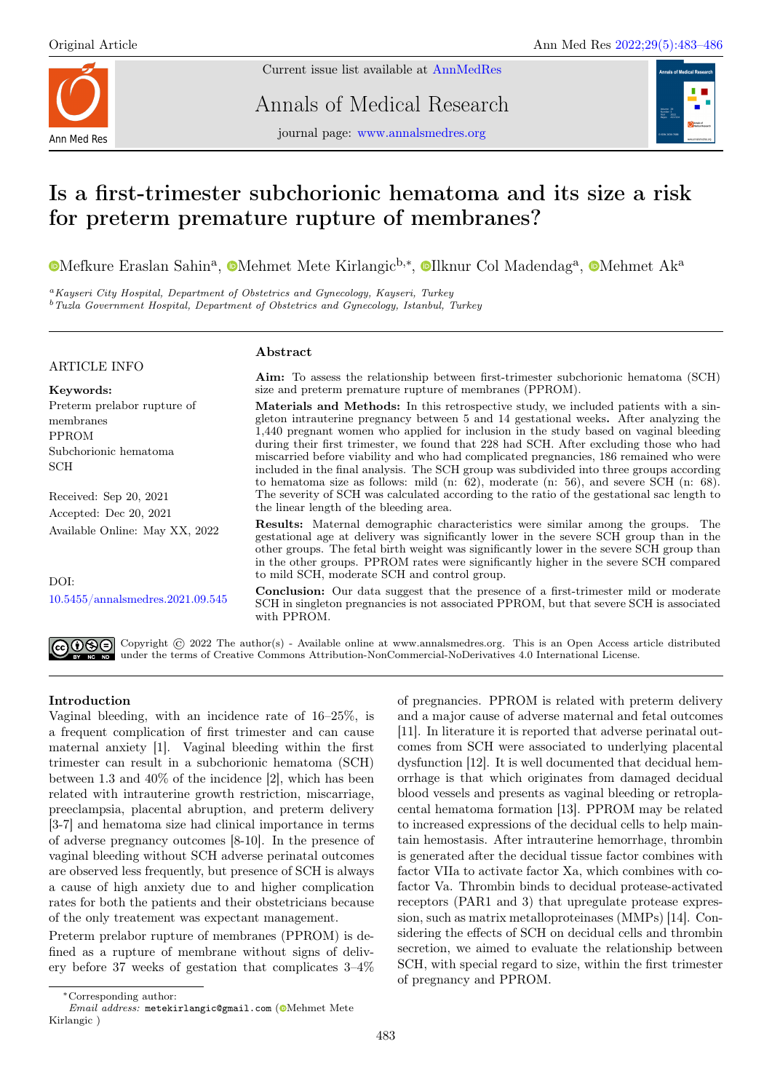

Current issue list available at [AnnMedRes](https://annalsmedres.org/index.php/aomr/issue/view/163)

Annals of Medical Research

journal page: [www.annalsmedres.org](https://www.annalsmedres.org)



# Is a first-trimester subchorionic hematoma and its size a risk for preterm premature rupture of membranes?

[M](https://orcid.org/0000-0003-3384-0586)efkure Eraslan Sahin<sup>a</sup>, ©Mehmet Mete Kirlangic<sup>b,∗</sup>, ©[I](https://orcid.org/0000-0001-6700-2236)lknur Col Madendag<sup>a</sup>, ©Mehmet Ak<sup>a</sup>

<sup>a</sup>Kayseri City Hospital, Department of Obstetrics and Gynecology, Kayseri, Turkey <sup>b</sup> Tuzla Government Hospital, Department of Obstetrics and Gynecology, Istanbul, Turkey

## ARTICLE INFO

Keywords: Preterm prelabor rupture of membranes PPROM Subchorionic hematoma **SCH** 

Received: Sep 20, 2021 Accepted: Dec 20, 2021 Available Online: May XX, 2022

DOI: [10.5455/annalsmedres.2021.09.545](https://doi.org/10.5455/annalsmedres.2021.09.545)

# Abstract

Aim: To assess the relationship between first-trimester subchorionic hematoma (SCH) size and preterm premature rupture of membranes (PPROM).

Materials and Methods: In this retrospective study, we included patients with a singleton intrauterine pregnancy between 5 and 14 gestational weeks. After analyzing the 1,440 pregnant women who applied for inclusion in the study based on vaginal bleeding during their first trimester, we found that 228 had SCH. After excluding those who had miscarried before viability and who had complicated pregnancies, 186 remained who were included in the final analysis. The SCH group was subdivided into three groups according to hematoma size as follows: mild (n: 62), moderate (n: 56), and severe SCH (n: 68). The severity of SCH was calculated according to the ratio of the gestational sac length to the linear length of the bleeding area.

Results: Maternal demographic characteristics were similar among the groups. The gestational age at delivery was significantly lower in the severe SCH group than in the other groups. The fetal birth weight was significantly lower in the severe SCH group than in the other groups. PPROM rates were significantly higher in the severe SCH compared to mild SCH, moderate SCH and control group.

Conclusion: Our data suggest that the presence of a first-trimester mild or moderate SCH in singleton pregnancies is not associated PPROM, but that severe SCH is associated with PPROM.



Copyright © 2022 The author(s) - Available online at www.annalsmedres.org. This is an Open Access article distributed under the terms of Creative Commons Attribution-NonCommercial-NoDerivatives 4.0 International License.

# Introduction

Vaginal bleeding, with an incidence rate of 16–25%, is a frequent complication of first trimester and can cause maternal anxiety [1]. Vaginal bleeding within the first trimester can result in a subchorionic hematoma (SCH) between 1.3 and 40% of the incidence [2], which has been related with intrauterine growth restriction, miscarriage, preeclampsia, placental abruption, and preterm delivery [3-7] and hematoma size had clinical importance in terms of adverse pregnancy outcomes [8-10]. In the presence of vaginal bleeding without SCH adverse perinatal outcomes are observed less frequently, but presence of SCH is always a cause of high anxiety due to and higher complication rates for both the patients and their obstetricians because of the only treatement was expectant management.

Preterm prelabor rupture of membranes (PPROM) is defined as a rupture of membrane without signs of delivery before 37 weeks of gestation that complicates 3–4%

of pregnancies. PPROM is related with preterm delivery and a major cause of adverse maternal and fetal outcomes [11]. In literature it is reported that adverse perinatal outcomes from SCH were associated to underlying placental dysfunction [12]. It is well documented that decidual hemorrhage is that which originates from damaged decidual blood vessels and presents as vaginal bleeding or retroplacental hematoma formation [13]. PPROM may be related to increased expressions of the decidual cells to help maintain hemostasis. After intrauterine hemorrhage, thrombin is generated after the decidual tissue factor combines with factor VIIa to activate factor Xa, which combines with cofactor Va. Thrombin binds to decidual protease-activated receptors (PAR1 and 3) that upregulate protease expression, such as matrix metalloproteinases (MMPs) [14]. Considering the effects of SCH on decidual cells and thrombin secretion, we aimed to evaluate the relationship between SCH, with special regard to size, within the first trimester of pregnancy and PPROM.

<sup>∗</sup>Corresponding author:

Email address: metekirlangic@gmail.com (@[M](https://orcid.org/0000-0002-9750-1594)ehmet Mete Kirlangic )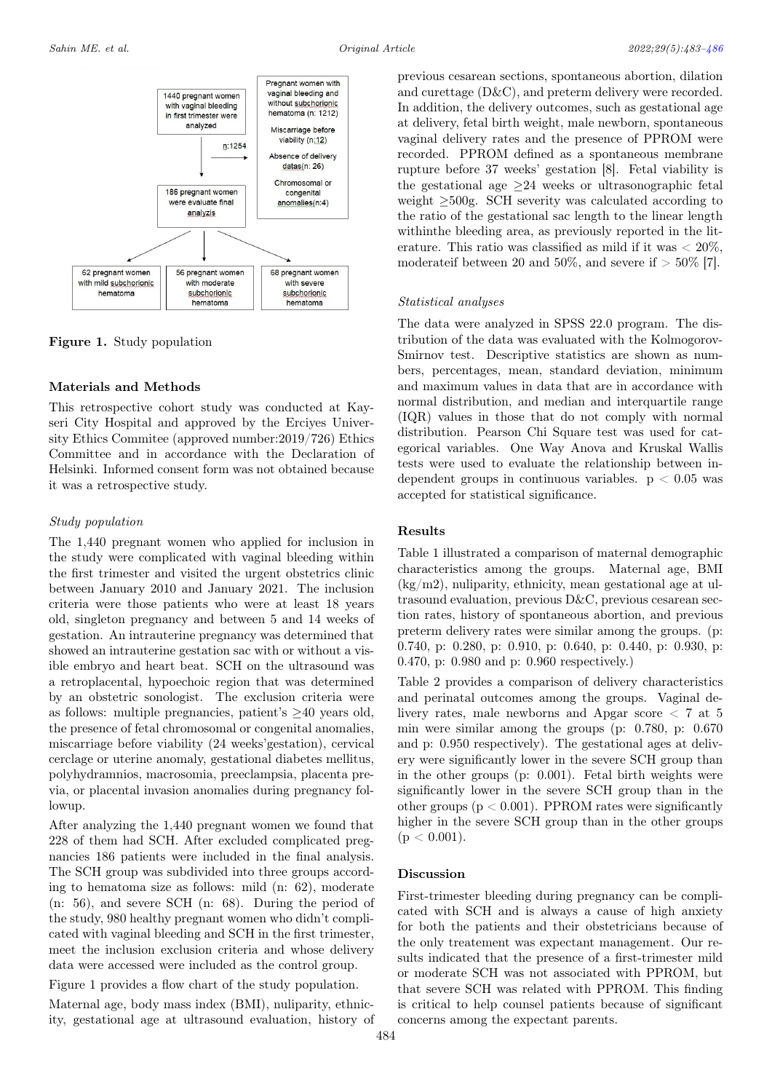

Figure 1. Study population

## Materials and Methods

This retrospective cohort study was conducted at Kayseri City Hospital and approved by the Erciyes University Ethics Commitee (approved number:2019/726) Ethics Committee and in accordance with the Declaration of Helsinki. Informed consent form was not obtained because it was a retrospective study.

#### Study population

The 1,440 pregnant women who applied for inclusion in the study were complicated with vaginal bleeding within the first trimester and visited the urgent obstetrics clinic between January 2010 and January 2021. The inclusion criteria were those patients who were at least 18 years old, singleton pregnancy and between 5 and 14 weeks of gestation. An intrauterine pregnancy was determined that showed an intrauterine gestation sac with or without a visible embryo and heart beat. SCH on the ultrasound was a retroplacental, hypoechoic region that was determined by an obstetric sonologist. The exclusion criteria were as follows: multiple pregnancies, patient's  $\geq 40$  years old, the presence of fetal chromosomal or congenital anomalies, miscarriage before viability (24 weeks'gestation), cervical cerclage or uterine anomaly, gestational diabetes mellitus, polyhydramnios, macrosomia, preeclampsia, placenta previa, or placental invasion anomalies during pregnancy followup.

After analyzing the 1,440 pregnant women we found that 228 of them had SCH. After excluded complicated pregnancies 186 patients were included in the final analysis. The SCH group was subdivided into three groups according to hematoma size as follows: mild (n: 62), moderate (n: 56), and severe SCH (n: 68). During the period of the study, 980 healthy pregnant women who didn't complicated with vaginal bleeding and SCH in the first trimester, meet the inclusion exclusion criteria and whose delivery data were accessed were included as the control group.

Figure 1 provides a flow chart of the study population. Maternal age, body mass index (BMI), nuliparity, ethnicity, gestational age at ultrasound evaluation, history of recorded. PPROM defined as a spontaneous membrane rupture before 37 weeks' gestation [8]. Fetal viability is the gestational age  $\geq 24$  weeks or ultrasonographic fetal weight ≥500g. SCH severity was calculated according to the ratio of the gestational sac length to the linear length withinthe bleeding area, as previously reported in the literature. This ratio was classified as mild if it was  $< 20\%$ , moderateif between 20 and 50%, and severe if  $>$  50% [7]. Statistical analyses The data were analyzed in SPSS 22.0 program. The dis-

previous cesarean sections, spontaneous abortion, dilation and curettage (D&C), and preterm delivery were recorded. In addition, the delivery outcomes, such as gestational age at delivery, fetal birth weight, male newborn, spontaneous vaginal delivery rates and the presence of PPROM were

tribution of the data was evaluated with the Kolmogorov-Smirnov test. Descriptive statistics are shown as numbers, percentages, mean, standard deviation, minimum and maximum values in data that are in accordance with normal distribution, and median and interquartile range (IQR) values in those that do not comply with normal distribution. Pearson Chi Square test was used for categorical variables. One Way Anova and Kruskal Wallis tests were used to evaluate the relationship between independent groups in continuous variables.  $p < 0.05$  was accepted for statistical significance.

# Results

Table 1 illustrated a comparison of maternal demographic characteristics among the groups. Maternal age, BMI  $(kg/m2)$ , nuliparity, ethnicity, mean gestational age at ultrasound evaluation, previous D&C, previous cesarean section rates, history of spontaneous abortion, and previous preterm delivery rates were similar among the groups. (p: 0.740, p: 0.280, p: 0.910, p: 0.640, p: 0.440, p: 0.930, p: 0.470, p: 0.980 and p: 0.960 respectively.)

Table 2 provides a comparison of delivery characteristics and perinatal outcomes among the groups. Vaginal delivery rates, male newborns and Apgar score < 7 at 5 min were similar among the groups (p: 0.780, p: 0.670 and p: 0.950 respectively). The gestational ages at delivery were significantly lower in the severe SCH group than in the other groups (p: 0.001). Fetal birth weights were significantly lower in the severe SCH group than in the other groups ( $p < 0.001$ ). PPROM rates were significantly higher in the severe SCH group than in the other groups  $(p < 0.001)$ .

#### Discussion

First-trimester bleeding during pregnancy can be complicated with SCH and is always a cause of high anxiety for both the patients and their obstetricians because of the only treatement was expectant management. Our results indicated that the presence of a first-trimester mild or moderate SCH was not associated with PPROM, but that severe SCH was related with PPROM. This finding is critical to help counsel patients because of significant concerns among the expectant parents.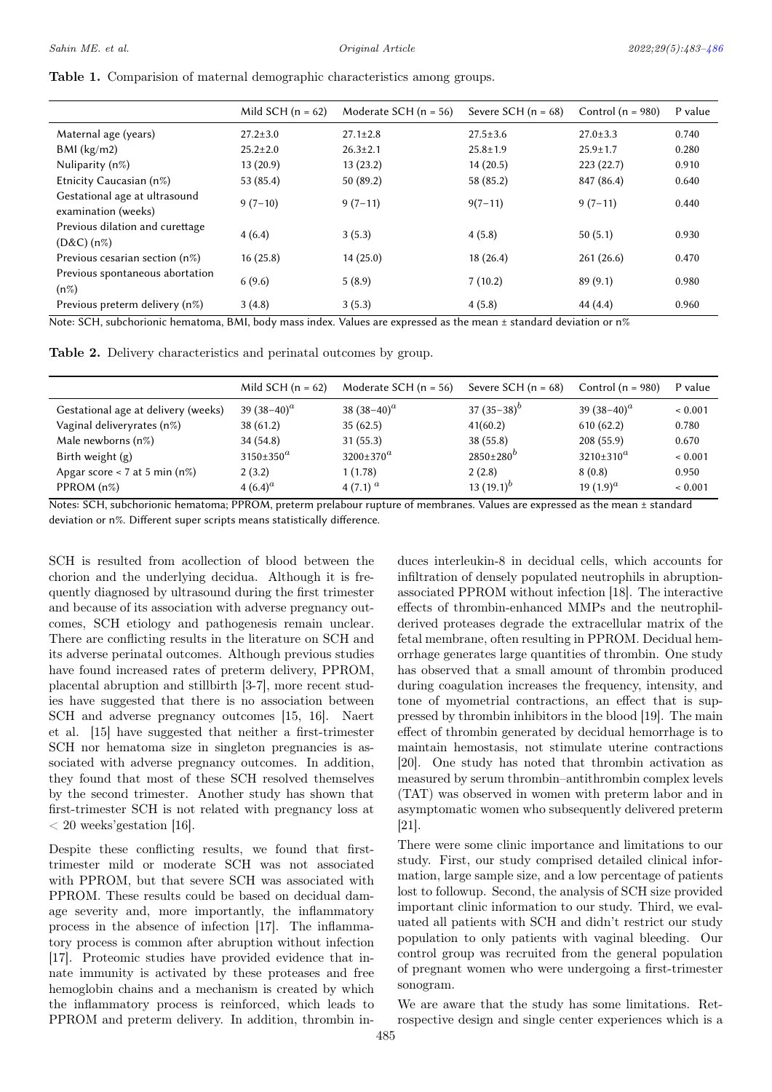|  |  |  | Table 1. Comparision of maternal demographic characteristics among groups. |
|--|--|--|----------------------------------------------------------------------------|
|  |  |  |                                                                            |

|                                                      | Mild SCH $(n = 62)$ | Moderate SCH $(n = 56)$ | Severe SCH $(n = 68)$ | Control ( $n = 980$ ) | P value |
|------------------------------------------------------|---------------------|-------------------------|-----------------------|-----------------------|---------|
| Maternal age (years)                                 | $27.2 \pm 3.0$      | $27.1 \pm 2.8$          | $27.5 \pm 3.6$        | $27.0 \pm 3.3$        | 0.740   |
| $BMl$ (kg/m2)                                        | $25.2 \pm 2.0$      | $26.3 \pm 2.1$          | $25.8 \pm 1.9$        | $25.9 \pm 1.7$        | 0.280   |
| Nuliparity $(n\%)$                                   | 13(20.9)            | 13(23.2)                | 14(20.5)              | 223(22.7)             | 0.910   |
| Etnicity Caucasian (n%)                              | 53 (85.4)           | 50(89.2)                | 58 (85.2)             | 847 (86.4)            | 0.640   |
| Gestational age at ultrasound<br>examination (weeks) | $9(7-10)$           | $9(7-11)$               | $9(7-11)$             | $9(7-11)$             | 0.440   |
| Previous dilation and curettage<br>$(D&C)$ (n%)      | 4(6.4)              | 3(5.3)                  | 4(5.8)                | 50(5.1)               | 0.930   |
| Previous cesarian section (n%)                       | 16(25.8)            | 14(25.0)                | 18(26.4)              | 261(26.6)             | 0.470   |
| Previous spontaneous abortation<br>$(n\%)$           | 6(9.6)              | 5(8.9)                  | 7(10.2)               | 89(9.1)               | 0.980   |
| Previous preterm delivery (n%)                       | 3(4.8)              | 3(5.3)                  | 4(5.8)                | 44 (4.4)              | 0.960   |

Note: SCH, subchorionic hematoma, BMI, body mass index. Values are expressed as the mean ± standard deviation or n%

Table 2. Delivery characteristics and perinatal outcomes by group.

<span id="page-2-0"></span>

|                                     | Mild SCH $(n = 62)$    | Moderate SCH $(n = 56)$ | Severe SCH $(n = 68)$ | Control ( $n = 980$ ) | P value     |
|-------------------------------------|------------------------|-------------------------|-----------------------|-----------------------|-------------|
| Gestational age at delivery (weeks) | 39 $(38-40)^a$         | 38 $(38-40)^{a}$        | 37 $(35-38)^{b}$      | 39 $(38-40)^{a}$      | ${}< 0.001$ |
| Vaginal deliveryrates (n%)          | 38(61.2)               | 35(62.5)                | 41(60.2)              | 610(62.2)             | 0.780       |
| Male newborns (n%)                  | 34 (54.8)              | 31(55.3)                | 38(55.8)              | 208(55.9)             | 0.670       |
| Birth weight $(g)$                  | $3150 \pm 350^{\circ}$ | $3200 \pm 370^{\circ}$  | $2850 \pm 280^b$      | $3210 \pm 310^a$      | ${}< 0.001$ |
| Apgar score $<$ 7 at 5 min (n%)     | 2(3.2)                 | 1(1.78)                 | 2(2.8)                | 8(0.8)                | 0.950       |
| PPROM $(n%)$                        | 4 $(6.4)^a$            | 4 (7.1) $^a$            | 13 $(19.1)^{b}$       | 19 $(1.9)^a$          | ${}< 0.001$ |

Notes: SCH, subchorionic hematoma; PPROM, preterm prelabour rupture of membranes. Values are expressed as the mean ± standard deviation or n%. Different super scripts means statistically difference.

SCH is resulted from acollection of blood between the chorion and the underlying decidua. Although it is frequently diagnosed by ultrasound during the first trimester and because of its association with adverse pregnancy outcomes, SCH etiology and pathogenesis remain unclear. There are conflicting results in the literature on SCH and its adverse perinatal outcomes. Although previous studies have found increased rates of preterm delivery, PPROM, placental abruption and stillbirth [3-7], more recent studies have suggested that there is no association between SCH and adverse pregnancy outcomes [15, 16]. Naert et al. [15] have suggested that neither a first-trimester SCH nor hematoma size in singleton pregnancies is associated with adverse pregnancy outcomes. In addition, they found that most of these SCH resolved themselves by the second trimester. Another study has shown that first-trimester SCH is not related with pregnancy loss at  $\langle 20 \text{ weeks}$ 'gestation [16].

Despite these conflicting results, we found that firsttrimester mild or moderate SCH was not associated with PPROM, but that severe SCH was associated with PPROM. These results could be based on decidual damage severity and, more importantly, the inflammatory process in the absence of infection [17]. The inflammatory process is common after abruption without infection [17]. Proteomic studies have provided evidence that innate immunity is activated by these proteases and free hemoglobin chains and a mechanism is created by which the inflammatory process is reinforced, which leads to PPROM and preterm delivery. In addition, thrombin induces interleukin-8 in decidual cells, which accounts for infiltration of densely populated neutrophils in abruptionassociated PPROM without infection [18]. The interactive effects of thrombin-enhanced MMPs and the neutrophilderived proteases degrade the extracellular matrix of the fetal membrane, often resulting in PPROM. Decidual hemorrhage generates large quantities of thrombin. One study has observed that a small amount of thrombin produced during coagulation increases the frequency, intensity, and tone of myometrial contractions, an effect that is suppressed by thrombin inhibitors in the blood [19]. The main effect of thrombin generated by decidual hemorrhage is to maintain hemostasis, not stimulate uterine contractions [20]. One study has noted that thrombin activation as measured by serum thrombin–antithrombin complex levels (TAT) was observed in women with preterm labor and in asymptomatic women who subsequently delivered preterm  $|21|$ .

There were some clinic importance and limitations to our study. First, our study comprised detailed clinical information, large sample size, and a low percentage of patients lost to followup. Second, the analysis of SCH size provided important clinic information to our study. Third, we evaluated all patients with SCH and didn't restrict our study population to only patients with vaginal bleeding. Our control group was recruited from the general population of pregnant women who were undergoing a first-trimester sonogram.

We are aware that the study has some limitations. Retrospective design and single center experiences which is a